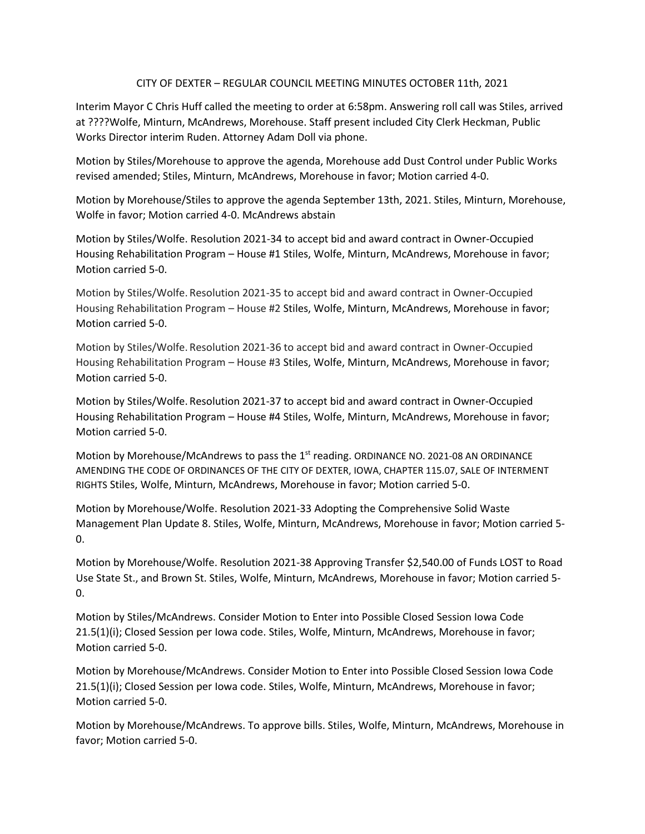## CITY OF DEXTER – REGULAR COUNCIL MEETING MINUTES OCTOBER 11th, 2021

Interim Mayor C Chris Huff called the meeting to order at 6:58pm. Answering roll call was Stiles, arrived at ????Wolfe, Minturn, McAndrews, Morehouse. Staff present included City Clerk Heckman, Public Works Director interim Ruden. Attorney Adam Doll via phone.

Motion by Stiles/Morehouse to approve the agenda, Morehouse add Dust Control under Public Works revised amended; Stiles, Minturn, McAndrews, Morehouse in favor; Motion carried 4-0.

Motion by Morehouse/Stiles to approve the agenda September 13th, 2021. Stiles, Minturn, Morehouse, Wolfe in favor; Motion carried 4-0. McAndrews abstain

Motion by Stiles/Wolfe. Resolution 2021-34 to accept bid and award contract in Owner-Occupied Housing Rehabilitation Program – House #1 Stiles, Wolfe, Minturn, McAndrews, Morehouse in favor; Motion carried 5-0.

Motion by Stiles/Wolfe. Resolution 2021-35 to accept bid and award contract in Owner-Occupied Housing Rehabilitation Program – House #2 Stiles, Wolfe, Minturn, McAndrews, Morehouse in favor; Motion carried 5-0.

Motion by Stiles/Wolfe. Resolution 2021-36 to accept bid and award contract in Owner-Occupied Housing Rehabilitation Program – House #3 Stiles, Wolfe, Minturn, McAndrews, Morehouse in favor; Motion carried 5-0.

Motion by Stiles/Wolfe. Resolution 2021-37 to accept bid and award contract in Owner-Occupied Housing Rehabilitation Program – House #4 Stiles, Wolfe, Minturn, McAndrews, Morehouse in favor; Motion carried 5-0.

Motion by Morehouse/McAndrews to pass the 1<sup>st</sup> reading. ORDINANCE NO. 2021-08 AN ORDINANCE AMENDING THE CODE OF ORDINANCES OF THE CITY OF DEXTER, IOWA, CHAPTER 115.07, SALE OF INTERMENT RIGHTS Stiles, Wolfe, Minturn, McAndrews, Morehouse in favor; Motion carried 5-0.

Motion by Morehouse/Wolfe. Resolution 2021-33 Adopting the Comprehensive Solid Waste Management Plan Update 8. Stiles, Wolfe, Minturn, McAndrews, Morehouse in favor; Motion carried 5- 0.

Motion by Morehouse/Wolfe. Resolution 2021-38 Approving Transfer \$2,540.00 of Funds LOST to Road Use State St., and Brown St. Stiles, Wolfe, Minturn, McAndrews, Morehouse in favor; Motion carried 5- 0.

Motion by Stiles/McAndrews. Consider Motion to Enter into Possible Closed Session Iowa Code 21.5(1)(i); Closed Session per Iowa code. Stiles, Wolfe, Minturn, McAndrews, Morehouse in favor; Motion carried 5-0.

Motion by Morehouse/McAndrews. Consider Motion to Enter into Possible Closed Session Iowa Code 21.5(1)(i); Closed Session per Iowa code. Stiles, Wolfe, Minturn, McAndrews, Morehouse in favor; Motion carried 5-0.

Motion by Morehouse/McAndrews. To approve bills. Stiles, Wolfe, Minturn, McAndrews, Morehouse in favor; Motion carried 5-0.